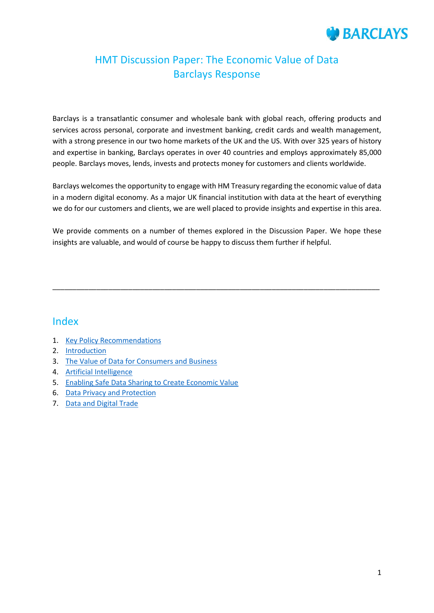# **BARCLAYS**

# HMT Discussion Paper: The Economic Value of Data Barclays Response

Barclays is a transatlantic consumer and wholesale bank with global reach, offering products and services across personal, corporate and investment banking, credit cards and wealth management, with a strong presence in our two home markets of the UK and the US. With over 325 years of history and expertise in banking, Barclays operates in over 40 countries and employs approximately 85,000 people. Barclays moves, lends, invests and protects money for customers and clients worldwide.

Barclays welcomes the opportunity to engage with HM Treasury regarding the economic value of data in a modern digital economy. As a major UK financial institution with data at the heart of everything we do for our customers and clients, we are well placed to provide insights and expertise in this area.

We provide comments on a number of themes explored in the Discussion Paper. We hope these insights are valuable, and would of course be happy to discuss them further if helpful.

\_\_\_\_\_\_\_\_\_\_\_\_\_\_\_\_\_\_\_\_\_\_\_\_\_\_\_\_\_\_\_\_\_\_\_\_\_\_\_\_\_\_\_\_\_\_\_\_\_\_\_\_\_\_\_\_\_\_\_\_\_\_\_\_\_\_\_\_\_\_\_\_\_\_\_\_\_\_\_\_\_\_

### Index

- 1. [Key Policy Recommendations](#page-1-0)
- 2. [Introduction](#page-2-0)
- 3. [The Value of Data for Consumers and Business](#page-2-1)
- 4. [Artificial Intelligence](#page-4-0)
- 5. [Enabling Safe Data Sharing to Create Economic Value](#page-7-0)
- 6. [Data Privacy and Protection](#page-12-0)
- 7. [Data and Digital Trade](#page-13-0)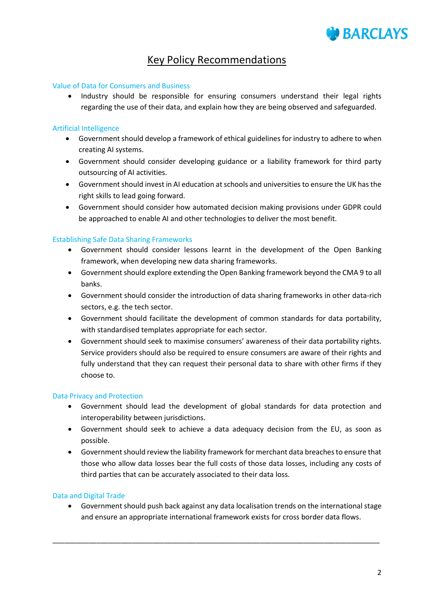

# <span id="page-1-0"></span>Key Policy Recommendations

### Value of Data for Consumers and Business

 Industry should be responsible for ensuring consumers understand their legal rights regarding the use of their data, and explain how they are being observed and safeguarded.

### Artificial Intelligence

- Government should develop a framework of ethical guidelines for industry to adhere to when creating AI systems.
- Government should consider developing guidance or a liability framework for third party outsourcing of AI activities.
- Government should invest in AI education at schools and universities to ensure the UK has the right skills to lead going forward.
- Government should consider how automated decision making provisions under GDPR could be approached to enable AI and other technologies to deliver the most benefit.

### Establishing Safe Data Sharing Frameworks

- Government should consider lessons learnt in the development of the Open Banking framework, when developing new data sharing frameworks.
- Government should explore extending the Open Banking framework beyond the CMA 9 to all banks.
- Government should consider the introduction of data sharing frameworks in other data-rich sectors, e.g. the tech sector.
- Government should facilitate the development of common standards for data portability, with standardised templates appropriate for each sector.
- Government should seek to maximise consumers' awareness of their data portability rights. Service providers should also be required to ensure consumers are aware of their rights and fully understand that they can request their personal data to share with other firms if they choose to.

### Data Privacy and Protection

- Government should lead the development of global standards for data protection and interoperability between jurisdictions.
- Government should seek to achieve a data adequacy decision from the EU, as soon as possible.
- Government should review the liability framework for merchant data breaches to ensure that those who allow data losses bear the full costs of those data losses, including any costs of third parties that can be accurately associated to their data loss.

### Data and Digital Trade

 Government should push back against any data localisation trends on the international stage and ensure an appropriate international framework exists for cross border data flows.

\_\_\_\_\_\_\_\_\_\_\_\_\_\_\_\_\_\_\_\_\_\_\_\_\_\_\_\_\_\_\_\_\_\_\_\_\_\_\_\_\_\_\_\_\_\_\_\_\_\_\_\_\_\_\_\_\_\_\_\_\_\_\_\_\_\_\_\_\_\_\_\_\_\_\_\_\_\_\_\_\_\_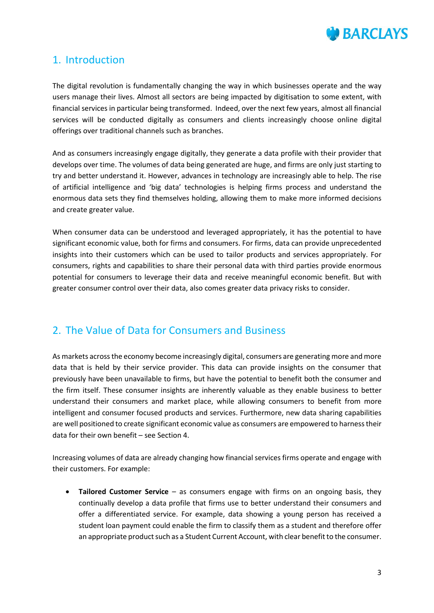

### <span id="page-2-0"></span>1. Introduction

The digital revolution is fundamentally changing the way in which businesses operate and the way users manage their lives. Almost all sectors are being impacted by digitisation to some extent, with financial services in particular being transformed. Indeed, over the next few years, almost all financial services will be conducted digitally as consumers and clients increasingly choose online digital offerings over traditional channels such as branches.

And as consumers increasingly engage digitally, they generate a data profile with their provider that develops over time. The volumes of data being generated are huge, and firms are only just starting to try and better understand it. However, advances in technology are increasingly able to help. The rise of artificial intelligence and 'big data' technologies is helping firms process and understand the enormous data sets they find themselves holding, allowing them to make more informed decisions and create greater value.

When consumer data can be understood and leveraged appropriately, it has the potential to have significant economic value, both for firms and consumers. For firms, data can provide unprecedented insights into their customers which can be used to tailor products and services appropriately. For consumers, rights and capabilities to share their personal data with third parties provide enormous potential for consumers to leverage their data and receive meaningful economic benefit. But with greater consumer control over their data, also comes greater data privacy risks to consider.

### <span id="page-2-1"></span>2. The Value of Data for Consumers and Business

As markets across the economy become increasingly digital, consumers are generating more and more data that is held by their service provider. This data can provide insights on the consumer that previously have been unavailable to firms, but have the potential to benefit both the consumer and the firm itself. These consumer insights are inherently valuable as they enable business to better understand their consumers and market place, while allowing consumers to benefit from more intelligent and consumer focused products and services. Furthermore, new data sharing capabilities are well positioned to create significant economic value as consumers are empowered to harness their data for their own benefit – see Section 4.

Increasing volumes of data are already changing how financial services firms operate and engage with their customers. For example:

 **Tailored Customer Service** – as consumers engage with firms on an ongoing basis, they continually develop a data profile that firms use to better understand their consumers and offer a differentiated service. For example, data showing a young person has received a student loan payment could enable the firm to classify them as a student and therefore offer an appropriate product such as a Student Current Account, with clear benefit to the consumer.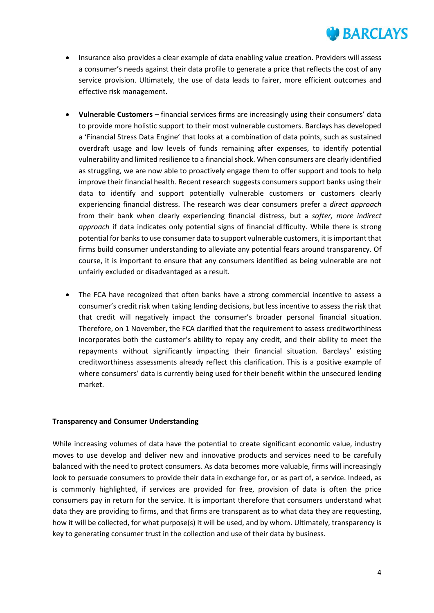

- Insurance also provides a clear example of data enabling value creation. Providers will assess a consumer's needs against their data profile to generate a price that reflects the cost of any service provision. Ultimately, the use of data leads to fairer, more efficient outcomes and effective risk management.
- **Vulnerable Customers**  financial services firms are increasingly using their consumers' data to provide more holistic support to their most vulnerable customers. Barclays has developed a 'Financial Stress Data Engine' that looks at a combination of data points, such as sustained overdraft usage and low levels of funds remaining after expenses, to identify potential vulnerability and limited resilience to a financial shock. When consumers are clearly identified as struggling, we are now able to proactively engage them to offer support and tools to help improve their financial health. Recent research suggests consumers support banks using their data to identify and support potentially vulnerable customers or customers clearly experiencing financial distress. The research was clear consumers prefer a *direct approach* from their bank when clearly experiencing financial distress, but a *softer, more indirect approach* if data indicates only potential signs of financial difficulty. While there is strong potential for banks to use consumer data to support vulnerable customers, it is important that firms build consumer understanding to alleviate any potential fears around transparency. Of course, it is important to ensure that any consumers identified as being vulnerable are not unfairly excluded or disadvantaged as a result.
- The FCA have recognized that often banks have a strong commercial incentive to assess a consumer's credit risk when taking lending decisions, but less incentive to assess the risk that that credit will negatively impact the consumer's broader personal financial situation. Therefore, on 1 November, the FCA clarified that the requirement to assess creditworthiness incorporates both the customer's ability to repay any credit, and their ability to meet the repayments without significantly impacting their financial situation. Barclays' existing creditworthiness assessments already reflect this clarification. This is a positive example of where consumers' data is currently being used for their benefit within the unsecured lending market.

### **Transparency and Consumer Understanding**

While increasing volumes of data have the potential to create significant economic value, industry moves to use develop and deliver new and innovative products and services need to be carefully balanced with the need to protect consumers. As data becomes more valuable, firms will increasingly look to persuade consumers to provide their data in exchange for, or as part of, a service. Indeed, as is commonly highlighted, if services are provided for free, provision of data is often the price consumers pay in return for the service. It is important therefore that consumers understand what data they are providing to firms, and that firms are transparent as to what data they are requesting, how it will be collected, for what purpose(s) it will be used, and by whom. Ultimately, transparency is key to generating consumer trust in the collection and use of their data by business.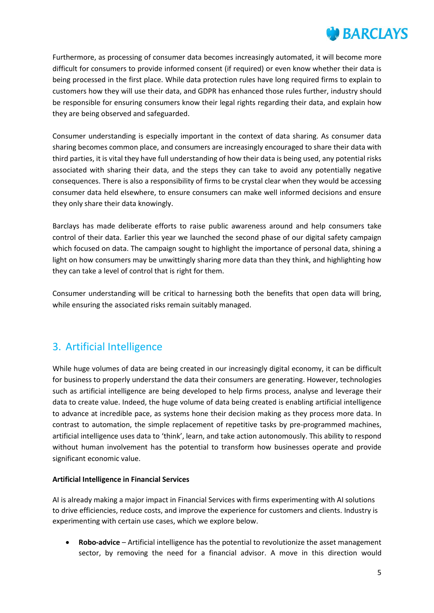# **BARCLAYS**

Furthermore, as processing of consumer data becomes increasingly automated, it will become more difficult for consumers to provide informed consent (if required) or even know whether their data is being processed in the first place. While data protection rules have long required firms to explain to customers how they will use their data, and GDPR has enhanced those rules further, industry should be responsible for ensuring consumers know their legal rights regarding their data, and explain how they are being observed and safeguarded.

Consumer understanding is especially important in the context of data sharing. As consumer data sharing becomes common place, and consumers are increasingly encouraged to share their data with third parties, it is vital they have full understanding of how their data is being used, any potential risks associated with sharing their data, and the steps they can take to avoid any potentially negative consequences. There is also a responsibility of firms to be crystal clear when they would be accessing consumer data held elsewhere, to ensure consumers can make well informed decisions and ensure they only share their data knowingly.

Barclays has made deliberate efforts to raise public awareness around and help consumers take control of their data. Earlier this year we launched the second phase of our digital safety campaign which focused on data. The campaign sought to highlight the importance of personal data, shining a light on how consumers may be unwittingly sharing more data than they think, and highlighting how they can take a level of control that is right for them.

Consumer understanding will be critical to harnessing both the benefits that open data will bring, while ensuring the associated risks remain suitably managed.

# <span id="page-4-0"></span>3. Artificial Intelligence

While huge volumes of data are being created in our increasingly digital economy, it can be difficult for business to properly understand the data their consumers are generating. However, technologies such as artificial intelligence are being developed to help firms process, analyse and leverage their data to create value. Indeed, the huge volume of data being created is enabling artificial intelligence to advance at incredible pace, as systems hone their decision making as they process more data. In contrast to automation, the simple replacement of repetitive tasks by pre-programmed machines, artificial intelligence uses data to 'think', learn, and take action autonomously. This ability to respond without human involvement has the potential to transform how businesses operate and provide significant economic value.

### **Artificial Intelligence in Financial Services**

AI is already making a major impact in Financial Services with firms experimenting with AI solutions to drive efficiencies, reduce costs, and improve the experience for customers and clients. Industry is experimenting with certain use cases, which we explore below.

 **Robo-advice** – Artificial intelligence has the potential to revolutionize the asset management sector, by removing the need for a financial advisor. A move in this direction would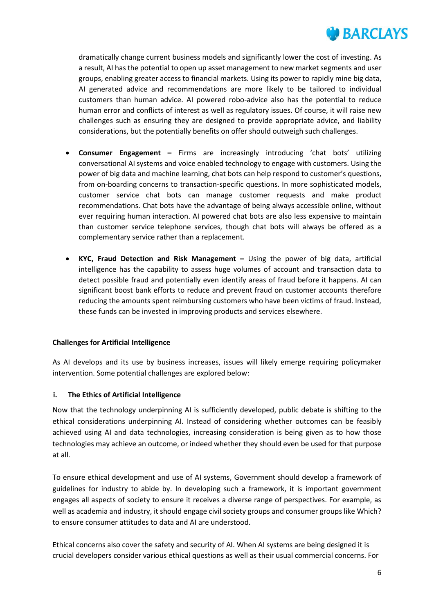

dramatically change current business models and significantly lower the cost of investing. As a result, AI has the potential to open up asset management to new market segments and user groups, enabling greater access to financial markets. Using its power to rapidly mine big data, AI generated advice and recommendations are more likely to be tailored to individual customers than human advice. AI powered robo-advice also has the potential to reduce human error and conflicts of interest as well as regulatory issues. Of course, it will raise new challenges such as ensuring they are designed to provide appropriate advice, and liability considerations, but the potentially benefits on offer should outweigh such challenges.

- **Consumer Engagement –** Firms are increasingly introducing 'chat bots' utilizing conversational AI systems and voice enabled technology to engage with customers. Using the power of big data and machine learning, chat bots can help respond to customer's questions, from on-boarding concerns to transaction-specific questions. In more sophisticated models, customer service chat bots can manage customer requests and make product recommendations. Chat bots have the advantage of being always accessible online, without ever requiring human interaction. AI powered chat bots are also less expensive to maintain than customer service telephone services, though chat bots will always be offered as a complementary service rather than a replacement.
- **KYC, Fraud Detection and Risk Management –** Using the power of big data, artificial intelligence has the capability to assess huge volumes of account and transaction data to detect possible fraud and potentially even identify areas of fraud before it happens. AI can significant boost bank efforts to reduce and prevent fraud on customer accounts therefore reducing the amounts spent reimbursing customers who have been victims of fraud. Instead, these funds can be invested in improving products and services elsewhere.

### **Challenges for Artificial Intelligence**

As AI develops and its use by business increases, issues will likely emerge requiring policymaker intervention. Some potential challenges are explored below:

### **i. The Ethics of Artificial Intelligence**

Now that the technology underpinning AI is sufficiently developed, public debate is shifting to the ethical considerations underpinning AI. Instead of considering whether outcomes can be feasibly achieved using AI and data technologies, increasing consideration is being given as to how those technologies may achieve an outcome, or indeed whether they should even be used for that purpose at all.

To ensure ethical development and use of AI systems, Government should develop a framework of guidelines for industry to abide by. In developing such a framework, it is important government engages all aspects of society to ensure it receives a diverse range of perspectives. For example, as well as academia and industry, it should engage civil society groups and consumer groups like Which? to ensure consumer attitudes to data and AI are understood.

Ethical concerns also cover the safety and security of AI. When AI systems are being designed it is crucial developers consider various ethical questions as well as their usual commercial concerns. For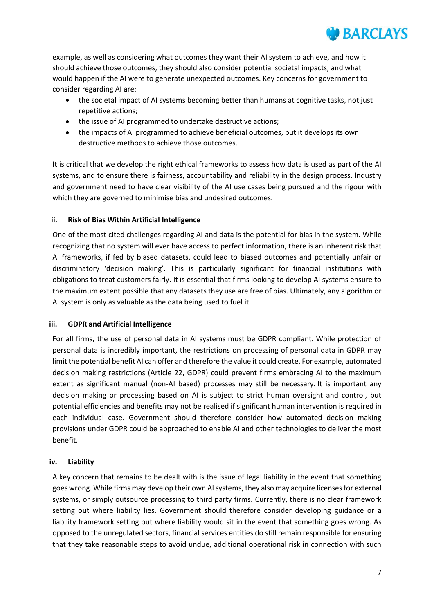

example, as well as considering what outcomes they want their AI system to achieve, and how it should achieve those outcomes, they should also consider potential societal impacts, and what would happen if the AI were to generate unexpected outcomes. Key concerns for government to consider regarding AI are:

- the societal impact of AI systems becoming better than humans at cognitive tasks, not just repetitive actions;
- the issue of AI programmed to undertake destructive actions;
- the impacts of AI programmed to achieve beneficial outcomes, but it develops its own destructive methods to achieve those outcomes.

It is critical that we develop the right ethical frameworks to assess how data is used as part of the AI systems, and to ensure there is fairness, accountability and reliability in the design process. Industry and government need to have clear visibility of the AI use cases being pursued and the rigour with which they are governed to minimise bias and undesired outcomes.

### **ii. Risk of Bias Within Artificial Intelligence**

One of the most cited challenges regarding AI and data is the potential for bias in the system. While recognizing that no system will ever have access to perfect information, there is an inherent risk that AI frameworks, if fed by biased datasets, could lead to biased outcomes and potentially unfair or discriminatory 'decision making'. This is particularly significant for financial institutions with obligations to treat customers fairly. It is essential that firms looking to develop AI systems ensure to the maximum extent possible that any datasets they use are free of bias. Ultimately, any algorithm or AI system is only as valuable as the data being used to fuel it.

### **iii. GDPR and Artificial Intelligence**

For all firms, the use of personal data in AI systems must be GDPR compliant. While protection of personal data is incredibly important, the restrictions on processing of personal data in GDPR may limit the potential benefit AI can offer and therefore the value it could create. For example, automated decision making restrictions (Article 22, GDPR) could prevent firms embracing AI to the maximum extent as significant manual (non-AI based) processes may still be necessary. It is important any decision making or processing based on AI is subject to strict human oversight and control, but potential efficiencies and benefits may not be realised if significant human intervention is required in each individual case. Government should therefore consider how automated decision making provisions under GDPR could be approached to enable AI and other technologies to deliver the most benefit.

### **iv. Liability**

A key concern that remains to be dealt with is the issue of legal liability in the event that something goes wrong. While firms may develop their own AI systems, they also may acquire licensesfor external systems, or simply outsource processing to third party firms. Currently, there is no clear framework setting out where liability lies. Government should therefore consider developing guidance or a liability framework setting out where liability would sit in the event that something goes wrong. As opposed to the unregulated sectors, financial services entities do still remain responsible for ensuring that they take reasonable steps to avoid undue, additional operational risk in connection with such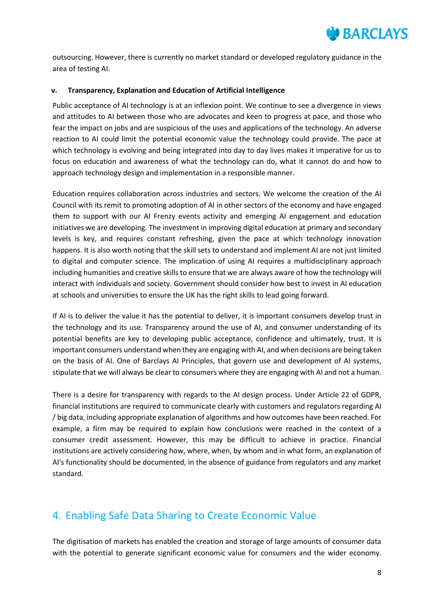

outsourcing. However, there is currently no market standard or developed regulatory guidance in the area of testing AI.

#### **v. Transparency, Explanation and Education of Artificial Intelligence**

Public acceptance of AI technology is at an inflexion point. We continue to see a divergence in views and attitudes to AI between those who are advocates and keen to progress at pace, and those who fear the impact on jobs and are suspicious of the uses and applications of the technology. An adverse reaction to AI could limit the potential economic value the technology could provide. The pace at which technology is evolving and being integrated into day to day lives makes it imperative for us to focus on education and awareness of what the technology can do, what it cannot do and how to approach technology design and implementation in a responsible manner.

Education requires collaboration across industries and sectors. We welcome the creation of the AI Council with its remit to promoting adoption of AI in other sectors of the economy and have engaged them to support with our AI Frenzy events activity and emerging AI engagement and education initiatives we are developing. The investment in improving digital education at primary and secondary levels is key, and requires constant refreshing, given the pace at which technology innovation happens. It is also worth noting that the skill sets to understand and implement AI are not just limited to digital and computer science. The implication of using AI requires a multidisciplinary approach including humanities and creative skills to ensure that we are always aware of how the technology will interact with individuals and society. Government should consider how best to invest in AI education at schools and universities to ensure the UK has the right skills to lead going forward.

If AI is to deliver the value it has the potential to deliver, it is important consumers develop trust in the technology and its use. Transparency around the use of AI, and consumer understanding of its potential benefits are key to developing public acceptance, confidence and ultimately, trust. It is important consumers understand when they are engaging with AI, and when decisions are being taken on the basis of AI. One of Barclays AI Principles, that govern use and development of AI systems, stipulate that we will always be clear to consumers where they are engaging with AI and not a human.

There is a desire for transparency with regards to the AI design process. Under Article 22 of GDPR, financial institutions are required to communicate clearly with customers and regulators regarding AI / big data, including appropriate explanation of algorithms and how outcomes have been reached. For example, a firm may be required to explain how conclusions were reached in the context of a consumer credit assessment. However, this may be difficult to achieve in practice. Financial institutions are actively considering how, where, when, by whom and in what form, an explanation of AI's functionality should be documented, in the absence of guidance from regulators and any market standard.

### <span id="page-7-0"></span>4. Enabling Safe Data Sharing to Create Economic Value

The digitisation of markets has enabled the creation and storage of large amounts of consumer data with the potential to generate significant economic value for consumers and the wider economy.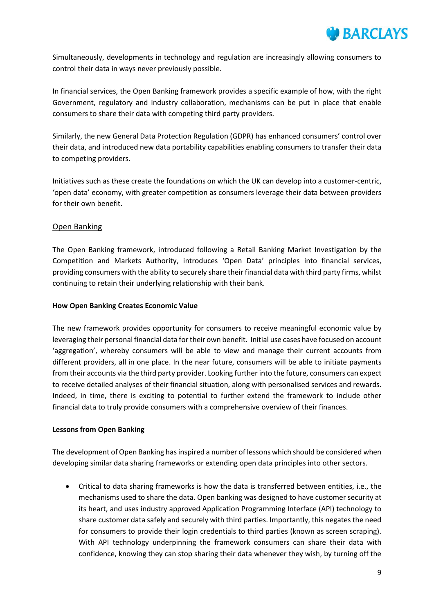

Simultaneously, developments in technology and regulation are increasingly allowing consumers to control their data in ways never previously possible.

In financial services, the Open Banking framework provides a specific example of how, with the right Government, regulatory and industry collaboration, mechanisms can be put in place that enable consumers to share their data with competing third party providers.

Similarly, the new General Data Protection Regulation (GDPR) has enhanced consumers' control over their data, and introduced new data portability capabilities enabling consumers to transfer their data to competing providers.

Initiatives such as these create the foundations on which the UK can develop into a customer-centric, 'open data' economy, with greater competition as consumers leverage their data between providers for their own benefit.

### Open Banking

The Open Banking framework, introduced following a Retail Banking Market Investigation by the Competition and Markets Authority, introduces 'Open Data' principles into financial services, providing consumers with the ability to securely share their financial data with third party firms, whilst continuing to retain their underlying relationship with their bank.

### **How Open Banking Creates Economic Value**

The new framework provides opportunity for consumers to receive meaningful economic value by leveraging their personal financial data for their own benefit. Initial use cases have focused on account 'aggregation', whereby consumers will be able to view and manage their current accounts from different providers, all in one place. In the near future, consumers will be able to initiate payments from their accounts via the third party provider. Looking further into the future, consumers can expect to receive detailed analyses of their financial situation, along with personalised services and rewards. Indeed, in time, there is exciting to potential to further extend the framework to include other financial data to truly provide consumers with a comprehensive overview of their finances.

### **Lessons from Open Banking**

The development of Open Banking has inspired a number of lessons which should be considered when developing similar data sharing frameworks or extending open data principles into other sectors.

 Critical to data sharing frameworks is how the data is transferred between entities, i.e., the mechanisms used to share the data. Open banking was designed to have customer security at its heart, and uses industry approved Application Programming Interface (API) technology to share customer data safely and securely with third parties. Importantly, this negates the need for consumers to provide their login credentials to third parties (known as screen scraping). With API technology underpinning the framework consumers can share their data with confidence, knowing they can stop sharing their data whenever they wish, by turning off the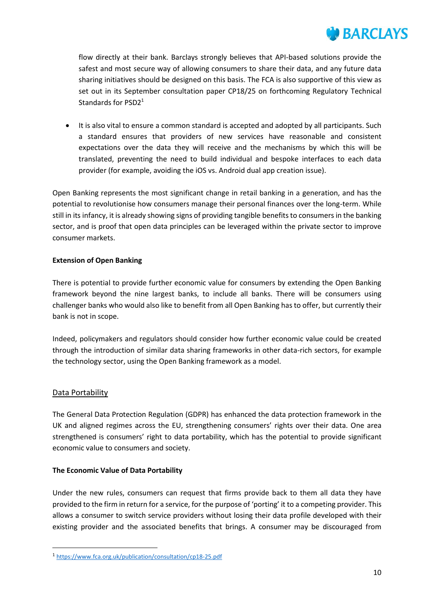

flow directly at their bank. Barclays strongly believes that API-based solutions provide the safest and most secure way of allowing consumers to share their data, and any future data sharing initiatives should be designed on this basis. The FCA is also supportive of this view as set out in its September consultation paper CP18/25 on forthcoming Regulatory Technical Standards for PSD2<sup>1</sup>

 It is also vital to ensure a common standard is accepted and adopted by all participants. Such a standard ensures that providers of new services have reasonable and consistent expectations over the data they will receive and the mechanisms by which this will be translated, preventing the need to build individual and bespoke interfaces to each data provider (for example, avoiding the iOS vs. Android dual app creation issue).

Open Banking represents the most significant change in retail banking in a generation, and has the potential to revolutionise how consumers manage their personal finances over the long-term. While still in its infancy, it is already showing signs of providing tangible benefits to consumers in the banking sector, and is proof that open data principles can be leveraged within the private sector to improve consumer markets.

### **Extension of Open Banking**

There is potential to provide further economic value for consumers by extending the Open Banking framework beyond the nine largest banks, to include all banks. There will be consumers using challenger banks who would also like to benefit from all Open Banking has to offer, but currently their bank is not in scope.

Indeed, policymakers and regulators should consider how further economic value could be created through the introduction of similar data sharing frameworks in other data-rich sectors, for example the technology sector, using the Open Banking framework as a model.

### Data Portability

**.** 

The General Data Protection Regulation (GDPR) has enhanced the data protection framework in the UK and aligned regimes across the EU, strengthening consumers' rights over their data. One area strengthened is consumers' right to data portability, which has the potential to provide significant economic value to consumers and society.

### **The Economic Value of Data Portability**

Under the new rules, consumers can request that firms provide back to them all data they have provided to the firm in return for a service, for the purpose of 'porting' it to a competing provider. This allows a consumer to switch service providers without losing their data profile developed with their existing provider and the associated benefits that brings. A consumer may be discouraged from

<sup>1</sup> <https://www.fca.org.uk/publication/consultation/cp18-25.pdf>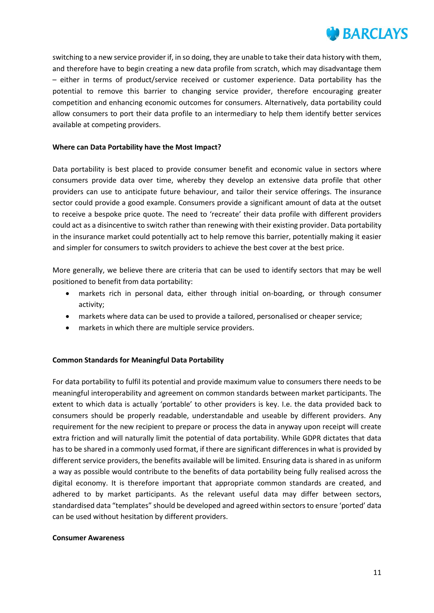

switching to a new service provider if, in so doing, they are unable to take their data history with them, and therefore have to begin creating a new data profile from scratch, which may disadvantage them – either in terms of product/service received or customer experience. Data portability has the potential to remove this barrier to changing service provider, therefore encouraging greater competition and enhancing economic outcomes for consumers. Alternatively, data portability could allow consumers to port their data profile to an intermediary to help them identify better services available at competing providers.

### **Where can Data Portability have the Most Impact?**

Data portability is best placed to provide consumer benefit and economic value in sectors where consumers provide data over time, whereby they develop an extensive data profile that other providers can use to anticipate future behaviour, and tailor their service offerings. The insurance sector could provide a good example. Consumers provide a significant amount of data at the outset to receive a bespoke price quote. The need to 'recreate' their data profile with different providers could act as a disincentive to switch rather than renewing with their existing provider. Data portability in the insurance market could potentially act to help remove this barrier, potentially making it easier and simpler for consumers to switch providers to achieve the best cover at the best price.

More generally, we believe there are criteria that can be used to identify sectors that may be well positioned to benefit from data portability:

- markets rich in personal data, either through initial on-boarding, or through consumer activity;
- markets where data can be used to provide a tailored, personalised or cheaper service;
- markets in which there are multiple service providers.

### **Common Standards for Meaningful Data Portability**

For data portability to fulfil its potential and provide maximum value to consumers there needs to be meaningful interoperability and agreement on common standards between market participants. The extent to which data is actually 'portable' to other providers is key. I.e. the data provided back to consumers should be properly readable, understandable and useable by different providers. Any requirement for the new recipient to prepare or process the data in anyway upon receipt will create extra friction and will naturally limit the potential of data portability. While GDPR dictates that data has to be shared in a commonly used format, if there are significant differences in what is provided by different service providers, the benefits available will be limited. Ensuring data is shared in as uniform a way as possible would contribute to the benefits of data portability being fully realised across the digital economy. It is therefore important that appropriate common standards are created, and adhered to by market participants. As the relevant useful data may differ between sectors, standardised data "templates" should be developed and agreed within sectors to ensure 'ported' data can be used without hesitation by different providers.

#### **Consumer Awareness**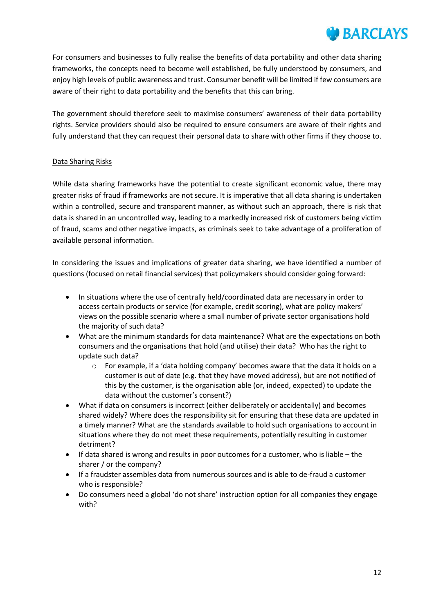

For consumers and businesses to fully realise the benefits of data portability and other data sharing frameworks, the concepts need to become well established, be fully understood by consumers, and enjoy high levels of public awareness and trust. Consumer benefit will be limited if few consumers are aware of their right to data portability and the benefits that this can bring.

The government should therefore seek to maximise consumers' awareness of their data portability rights. Service providers should also be required to ensure consumers are aware of their rights and fully understand that they can request their personal data to share with other firms if they choose to.

### Data Sharing Risks

While data sharing frameworks have the potential to create significant economic value, there may greater risks of fraud if frameworks are not secure. It is imperative that all data sharing is undertaken within a controlled, secure and transparent manner, as without such an approach, there is risk that data is shared in an uncontrolled way, leading to a markedly increased risk of customers being victim of fraud, scams and other negative impacts, as criminals seek to take advantage of a proliferation of available personal information.

In considering the issues and implications of greater data sharing, we have identified a number of questions (focused on retail financial services) that policymakers should consider going forward:

- In situations where the use of centrally held/coordinated data are necessary in order to access certain products or service (for example, credit scoring), what are policy makers' views on the possible scenario where a small number of private sector organisations hold the majority of such data?
- What are the minimum standards for data maintenance? What are the expectations on both consumers and the organisations that hold (and utilise) their data? Who has the right to update such data?
	- $\circ$  For example, if a 'data holding company' becomes aware that the data it holds on a customer is out of date (e.g. that they have moved address), but are not notified of this by the customer, is the organisation able (or, indeed, expected) to update the data without the customer's consent?)
- What if data on consumers is incorrect (either deliberately or accidentally) and becomes shared widely? Where does the responsibility sit for ensuring that these data are updated in a timely manner? What are the standards available to hold such organisations to account in situations where they do not meet these requirements, potentially resulting in customer detriment?
- If data shared is wrong and results in poor outcomes for a customer, who is liable the sharer / or the company?
- If a fraudster assembles data from numerous sources and is able to de-fraud a customer who is responsible?
- Do consumers need a global 'do not share' instruction option for all companies they engage with?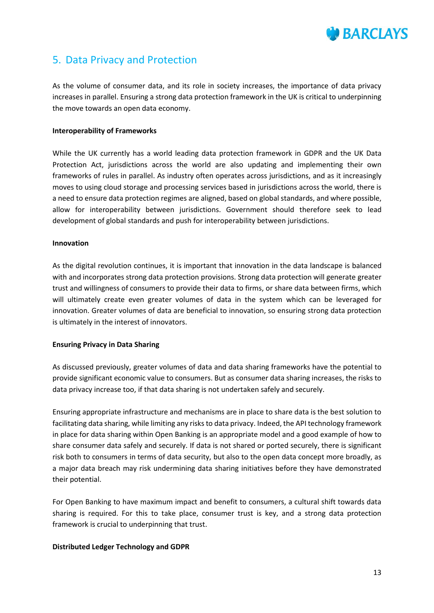

## <span id="page-12-0"></span>5. Data Privacy and Protection

As the volume of consumer data, and its role in society increases, the importance of data privacy increases in parallel. Ensuring a strong data protection framework in the UK is critical to underpinning the move towards an open data economy.

#### **Interoperability of Frameworks**

While the UK currently has a world leading data protection framework in GDPR and the UK Data Protection Act, jurisdictions across the world are also updating and implementing their own frameworks of rules in parallel. As industry often operates across jurisdictions, and as it increasingly moves to using cloud storage and processing services based in jurisdictions across the world, there is a need to ensure data protection regimes are aligned, based on global standards, and where possible, allow for interoperability between jurisdictions. Government should therefore seek to lead development of global standards and push for interoperability between jurisdictions.

#### **Innovation**

As the digital revolution continues, it is important that innovation in the data landscape is balanced with and incorporates strong data protection provisions. Strong data protection will generate greater trust and willingness of consumers to provide their data to firms, or share data between firms, which will ultimately create even greater volumes of data in the system which can be leveraged for innovation. Greater volumes of data are beneficial to innovation, so ensuring strong data protection is ultimately in the interest of innovators.

### **Ensuring Privacy in Data Sharing**

As discussed previously, greater volumes of data and data sharing frameworks have the potential to provide significant economic value to consumers. But as consumer data sharing increases, the risks to data privacy increase too, if that data sharing is not undertaken safely and securely.

Ensuring appropriate infrastructure and mechanisms are in place to share data is the best solution to facilitating data sharing, while limiting any risks to data privacy. Indeed, the API technology framework in place for data sharing within Open Banking is an appropriate model and a good example of how to share consumer data safely and securely. If data is not shared or ported securely, there is significant risk both to consumers in terms of data security, but also to the open data concept more broadly, as a major data breach may risk undermining data sharing initiatives before they have demonstrated their potential.

For Open Banking to have maximum impact and benefit to consumers, a cultural shift towards data sharing is required. For this to take place, consumer trust is key, and a strong data protection framework is crucial to underpinning that trust.

### **Distributed Ledger Technology and GDPR**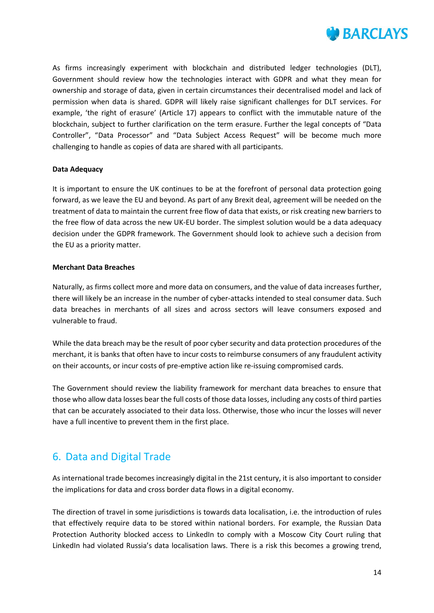

As firms increasingly experiment with blockchain and distributed ledger technologies (DLT), Government should review how the technologies interact with GDPR and what they mean for ownership and storage of data, given in certain circumstances their decentralised model and lack of permission when data is shared. GDPR will likely raise significant challenges for DLT services. For example, 'the right of erasure' (Article 17) appears to conflict with the immutable nature of the blockchain, subject to further clarification on the term erasure. Further the legal concepts of "Data Controller", "Data Processor" and "Data Subject Access Request" will be become much more challenging to handle as copies of data are shared with all participants.

### **Data Adequacy**

It is important to ensure the UK continues to be at the forefront of personal data protection going forward, as we leave the EU and beyond. As part of any Brexit deal, agreement will be needed on the treatment of data to maintain the current free flow of data that exists, or risk creating new barriers to the free flow of data across the new UK-EU border. The simplest solution would be a data adequacy decision under the GDPR framework. The Government should look to achieve such a decision from the EU as a priority matter.

### **Merchant Data Breaches**

Naturally, as firms collect more and more data on consumers, and the value of data increases further, there will likely be an increase in the number of cyber-attacks intended to steal consumer data. Such data breaches in merchants of all sizes and across sectors will leave consumers exposed and vulnerable to fraud.

While the data breach may be the result of poor cyber security and data protection procedures of the merchant, it is banks that often have to incur costs to reimburse consumers of any fraudulent activity on their accounts, or incur costs of pre-emptive action like re-issuing compromised cards.

The Government should review the liability framework for merchant data breaches to ensure that those who allow data losses bear the full costs of those data losses, including any costs of third parties that can be accurately associated to their data loss. Otherwise, those who incur the losses will never have a full incentive to prevent them in the first place.

# <span id="page-13-0"></span>6. Data and Digital Trade

As international trade becomes increasingly digital in the 21st century, it is also important to consider the implications for data and cross border data flows in a digital economy.

The direction of travel in some jurisdictions is towards data localisation, i.e. the introduction of rules that effectively require data to be stored within national borders. For example, the Russian Data Protection Authority blocked access to LinkedIn to comply with a Moscow City Court ruling that LinkedIn had violated Russia's data localisation laws. There is a risk this becomes a growing trend,